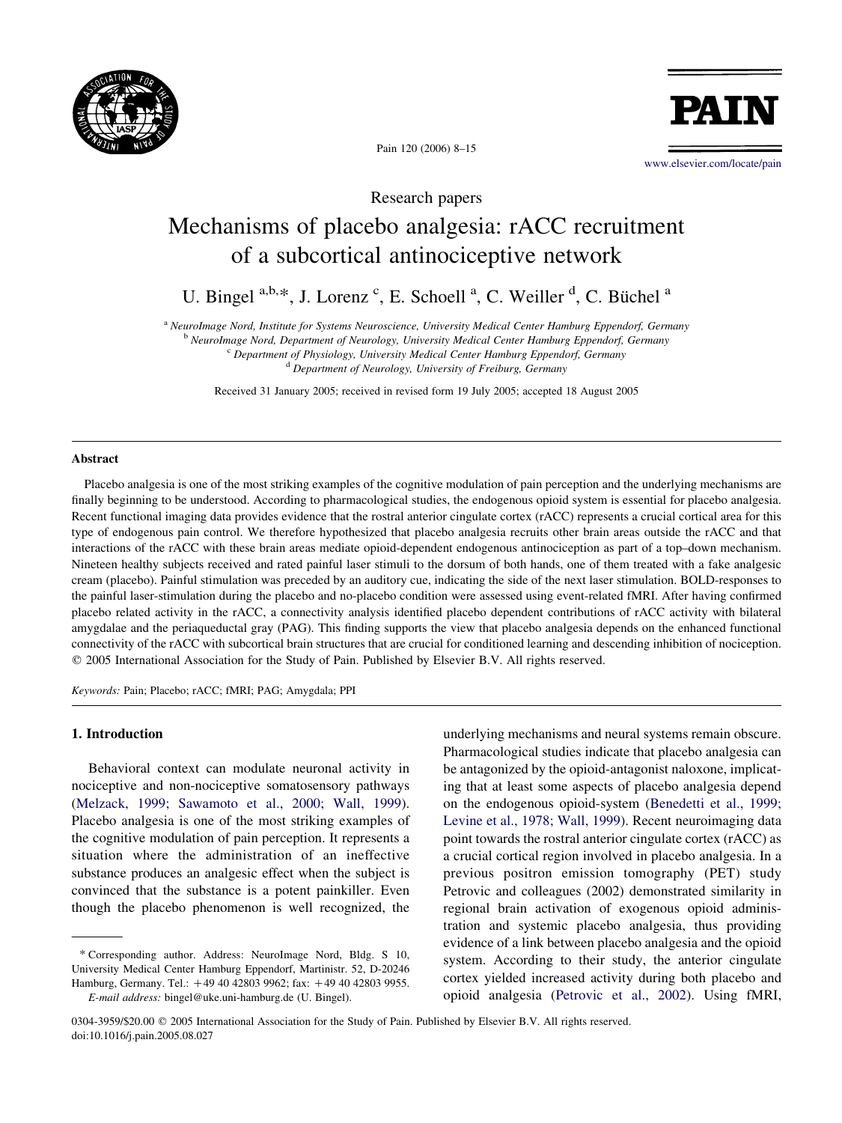



Pain 120 (2006) 8–15

[www.elsevier.com/locate/pain](http://www.elsevier.com/locate/pain)

Research papers

# Mechanisms of placebo analgesia: rACC recruitment of a subcortical antinociceptive network

U. Bingel a,b,\*, J. Lorenz c, E. Schoell <sup>a</sup>, C. Weiller <sup>d</sup>, C. Büchel <sup>a</sup>

<sup>a</sup> NeuroImage Nord, Institute for Systems Neuroscience, University Medical Center Hamburg Eppendorf, Germany

<sup>b</sup> NeuroImage Nord, Department of Neurology, University Medical Center Hamburg Eppendorf, Germany

<sup>c</sup> Department of Physiology, University Medical Center Hamburg Eppendorf, Germany <sup>d</sup> Department of Neurology, University of Freiburg, Germany

Received 31 January 2005; received in revised form 19 July 2005; accepted 18 August 2005

#### Abstract

Placebo analgesia is one of the most striking examples of the cognitive modulation of pain perception and the underlying mechanisms are finally beginning to be understood. According to pharmacological studies, the endogenous opioid system is essential for placebo analgesia. Recent functional imaging data provides evidence that the rostral anterior cingulate cortex (rACC) represents a crucial cortical area for this type of endogenous pain control. We therefore hypothesized that placebo analgesia recruits other brain areas outside the rACC and that interactions of the rACC with these brain areas mediate opioid-dependent endogenous antinociception as part of a top–down mechanism. Nineteen healthy subjects received and rated painful laser stimuli to the dorsum of both hands, one of them treated with a fake analgesic cream (placebo). Painful stimulation was preceded by an auditory cue, indicating the side of the next laser stimulation. BOLD-responses to the painful laser-stimulation during the placebo and no-placebo condition were assessed using event-related fMRI. After having confirmed placebo related activity in the rACC, a connectivity analysis identified placebo dependent contributions of rACC activity with bilateral amygdalae and the periaqueductal gray (PAG). This finding supports the view that placebo analgesia depends on the enhanced functional connectivity of the rACC with subcortical brain structures that are crucial for conditioned learning and descending inhibition of nociception.  $© 2005 International Association for the Study of Pain. Published by Elsevier B.V. All rights reserved.$ 

Keywords: Pain; Placebo; rACC; fMRI; PAG; Amygdala; PPI

## 1. Introduction

Behavioral context can modulate neuronal activity in nociceptive and non-nociceptive somatosensory pathways ([Melzack, 1999; Sawamoto et al., 2000; Wall, 1999\)](#page-7-0). Placebo analgesia is one of the most striking examples of the cognitive modulation of pain perception. It represents a situation where the administration of an ineffective substance produces an analgesic effect when the subject is convinced that the substance is a potent painkiller. Even though the placebo phenomenon is well recognized, the

underlying mechanisms and neural systems remain obscure. Pharmacological studies indicate that placebo analgesia can be antagonized by the opioid-antagonist naloxone, implicating that at least some aspects of placebo analgesia depend on the endogenous opioid-system ([Benedetti et al., 1999;](#page-7-0) [Levine et al., 1978; Wall, 1999\)](#page-7-0). Recent neuroimaging data point towards the rostral anterior cingulate cortex (rACC) as a crucial cortical region involved in placebo analgesia. In a previous positron emission tomography (PET) study Petrovic and colleagues (2002) demonstrated similarity in regional brain activation of exogenous opioid administration and systemic placebo analgesia, thus providing evidence of a link between placebo analgesia and the opioid system. According to their study, the anterior cingulate cortex yielded increased activity during both placebo and opioid analgesia [\(Petrovic et al., 2002](#page-7-0)). Using fMRI,

<sup>\*</sup> Corresponding author. Address: NeuroImage Nord, Bldg. S 10, University Medical Center Hamburg Eppendorf, Martinistr. 52, D-20246 Hamburg, Germany. Tel.:  $+49 40 42803 9962$ ; fax:  $+49 40 42803 9955$ . E-mail address: bingel@uke.uni-hamburg.de (U. Bingel).

<sup>0304-3959/\$20.00</sup> q 2005 International Association for the Study of Pain. Published by Elsevier B.V. All rights reserved. doi:10.1016/j.pain.2005.08.027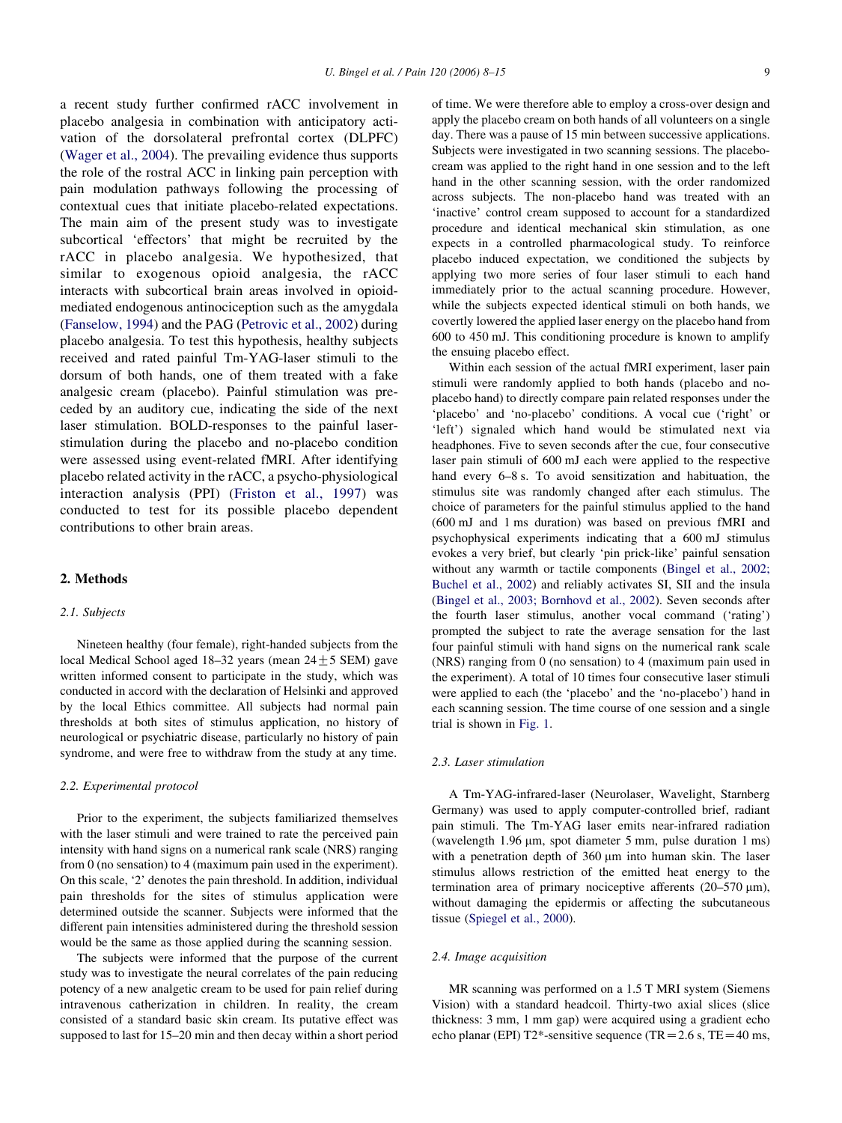a recent study further confirmed rACC involvement in placebo analgesia in combination with anticipatory activation of the dorsolateral prefrontal cortex (DLPFC) ([Wager et al., 2004](#page-7-0)). The prevailing evidence thus supports the role of the rostral ACC in linking pain perception with pain modulation pathways following the processing of contextual cues that initiate placebo-related expectations. The main aim of the present study was to investigate subcortical 'effectors' that might be recruited by the rACC in placebo analgesia. We hypothesized, that similar to exogenous opioid analgesia, the rACC interacts with subcortical brain areas involved in opioidmediated endogenous antinociception such as the amygdala ([Fanselow, 1994\)](#page-7-0) and the PAG ([Petrovic et al., 2002](#page-7-0)) during placebo analgesia. To test this hypothesis, healthy subjects received and rated painful Tm-YAG-laser stimuli to the dorsum of both hands, one of them treated with a fake analgesic cream (placebo). Painful stimulation was preceded by an auditory cue, indicating the side of the next laser stimulation. BOLD-responses to the painful laserstimulation during the placebo and no-placebo condition were assessed using event-related fMRI. After identifying placebo related activity in the rACC, a psycho-physiological interaction analysis (PPI) ([Friston et al., 1997\)](#page-7-0) was conducted to test for its possible placebo dependent contributions to other brain areas.

## 2. Methods

#### 2.1. Subjects

Nineteen healthy (four female), right-handed subjects from the local Medical School aged 18–32 years (mean  $24 \pm 5$  SEM) gave written informed consent to participate in the study, which was conducted in accord with the declaration of Helsinki and approved by the local Ethics committee. All subjects had normal pain thresholds at both sites of stimulus application, no history of neurological or psychiatric disease, particularly no history of pain syndrome, and were free to withdraw from the study at any time.

#### 2.2. Experimental protocol

Prior to the experiment, the subjects familiarized themselves with the laser stimuli and were trained to rate the perceived pain intensity with hand signs on a numerical rank scale (NRS) ranging from 0 (no sensation) to 4 (maximum pain used in the experiment). On this scale, '2' denotes the pain threshold. In addition, individual pain thresholds for the sites of stimulus application were determined outside the scanner. Subjects were informed that the different pain intensities administered during the threshold session would be the same as those applied during the scanning session.

The subjects were informed that the purpose of the current study was to investigate the neural correlates of the pain reducing potency of a new analgetic cream to be used for pain relief during intravenous catherization in children. In reality, the cream consisted of a standard basic skin cream. Its putative effect was supposed to last for 15–20 min and then decay within a short period

of time. We were therefore able to employ a cross-over design and apply the placebo cream on both hands of all volunteers on a single day. There was a pause of 15 min between successive applications. Subjects were investigated in two scanning sessions. The placebocream was applied to the right hand in one session and to the left hand in the other scanning session, with the order randomized across subjects. The non-placebo hand was treated with an 'inactive' control cream supposed to account for a standardized procedure and identical mechanical skin stimulation, as one expects in a controlled pharmacological study. To reinforce placebo induced expectation, we conditioned the subjects by applying two more series of four laser stimuli to each hand immediately prior to the actual scanning procedure. However, while the subjects expected identical stimuli on both hands, we covertly lowered the applied laser energy on the placebo hand from 600 to 450 mJ. This conditioning procedure is known to amplify the ensuing placebo effect.

Within each session of the actual fMRI experiment, laser pain stimuli were randomly applied to both hands (placebo and noplacebo hand) to directly compare pain related responses under the 'placebo' and 'no-placebo' conditions. A vocal cue ('right' or 'left') signaled which hand would be stimulated next via headphones. Five to seven seconds after the cue, four consecutive laser pain stimuli of 600 mJ each were applied to the respective hand every 6–8 s. To avoid sensitization and habituation, the stimulus site was randomly changed after each stimulus. The choice of parameters for the painful stimulus applied to the hand (600 mJ and 1 ms duration) was based on previous fMRI and psychophysical experiments indicating that a 600 mJ stimulus evokes a very brief, but clearly 'pin prick-like' painful sensation without any warmth or tactile components ([Bingel et al., 2002;](#page-7-0) [Buchel et al., 2002](#page-7-0)) and reliably activates SI, SII and the insula ([Bingel et al., 2003; Bornhovd et al., 2002](#page-7-0)). Seven seconds after the fourth laser stimulus, another vocal command ('rating') prompted the subject to rate the average sensation for the last four painful stimuli with hand signs on the numerical rank scale (NRS) ranging from 0 (no sensation) to 4 (maximum pain used in the experiment). A total of 10 times four consecutive laser stimuli were applied to each (the 'placebo' and the 'no-placebo') hand in each scanning session. The time course of one session and a single trial is shown in [Fig. 1.](#page-2-0)

#### 2.3. Laser stimulation

A Tm-YAG-infrared-laser (Neurolaser, Wavelight, Starnberg Germany) was used to apply computer-controlled brief, radiant pain stimuli. The Tm-YAG laser emits near-infrared radiation (wavelength  $1.96 \mu m$ , spot diameter 5 mm, pulse duration 1 ms) with a penetration depth of  $360 \mu m$  into human skin. The laser stimulus allows restriction of the emitted heat energy to the termination area of primary nociceptive afferents  $(20-570 \text{ }\mu\text{m})$ , without damaging the epidermis or affecting the subcutaneous tissue ([Spiegel et al., 2000](#page-7-0)).

## 2.4. Image acquisition

MR scanning was performed on a 1.5 T MRI system (Siemens Vision) with a standard headcoil. Thirty-two axial slices (slice thickness: 3 mm, 1 mm gap) were acquired using a gradient echo echo planar (EPI) T2\*-sensitive sequence (TR =  $2.6$  s, TE =  $40$  ms,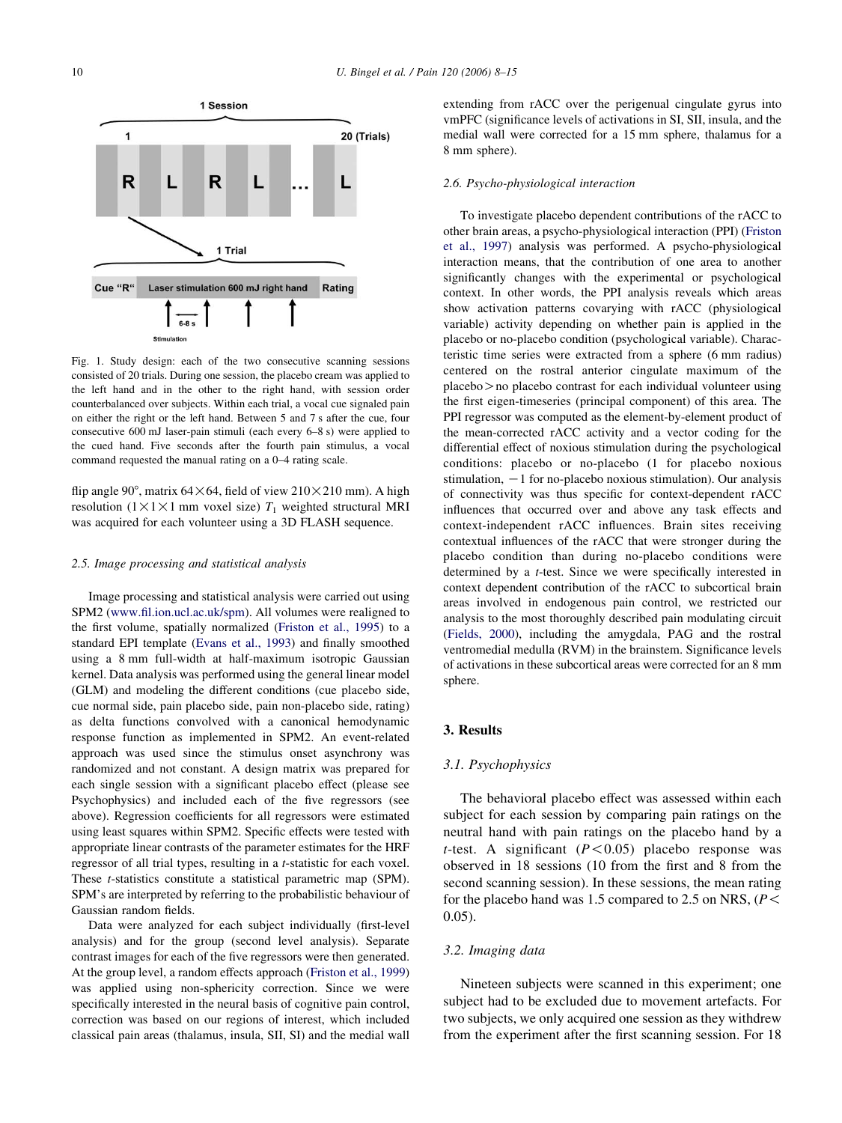<span id="page-2-0"></span>

Fig. 1. Study design: each of the two consecutive scanning sessions consisted of 20 trials. During one session, the placebo cream was applied to the left hand and in the other to the right hand, with session order counterbalanced over subjects. Within each trial, a vocal cue signaled pain on either the right or the left hand. Between 5 and 7 s after the cue, four consecutive 600 mJ laser-pain stimuli (each every 6–8 s) were applied to the cued hand. Five seconds after the fourth pain stimulus, a vocal command requested the manual rating on a 0–4 rating scale.

flip angle 90°, matrix 64 $\times$ 64, field of view 210 $\times$ 210 mm). A high resolution ( $1 \times 1 \times 1$  mm voxel size)  $T_1$  weighted structural MRI was acquired for each volunteer using a 3D FLASH sequence.

#### 2.5. Image processing and statistical analysis

Image processing and statistical analysis were carried out using SPM2 [\(www.fil.ion.ucl.ac.uk/spm](http://www.fil.ion.ucl.ac.uk/spm)). All volumes were realigned to the first volume, spatially normalized ([Friston et al., 1995\)](#page-7-0) to a standard EPI template ([Evans et al., 1993\)](#page-7-0) and finally smoothed using a 8 mm full-width at half-maximum isotropic Gaussian kernel. Data analysis was performed using the general linear model (GLM) and modeling the different conditions (cue placebo side, cue normal side, pain placebo side, pain non-placebo side, rating) as delta functions convolved with a canonical hemodynamic response function as implemented in SPM2. An event-related approach was used since the stimulus onset asynchrony was randomized and not constant. A design matrix was prepared for each single session with a significant placebo effect (please see Psychophysics) and included each of the five regressors (see above). Regression coefficients for all regressors were estimated using least squares within SPM2. Specific effects were tested with appropriate linear contrasts of the parameter estimates for the HRF regressor of all trial types, resulting in a t-statistic for each voxel. These t-statistics constitute a statistical parametric map (SPM). SPM's are interpreted by referring to the probabilistic behaviour of Gaussian random fields.

Data were analyzed for each subject individually (first-level analysis) and for the group (second level analysis). Separate contrast images for each of the five regressors were then generated. At the group level, a random effects approach [\(Friston et al., 1999\)](#page-7-0) was applied using non-sphericity correction. Since we were specifically interested in the neural basis of cognitive pain control, correction was based on our regions of interest, which included classical pain areas (thalamus, insula, SII, SI) and the medial wall

extending from rACC over the perigenual cingulate gyrus into vmPFC (significance levels of activations in SI, SII, insula, and the medial wall were corrected for a 15 mm sphere, thalamus for a 8 mm sphere).

#### 2.6. Psycho-physiological interaction

To investigate placebo dependent contributions of the rACC to other brain areas, a psycho-physiological interaction (PPI) [\(Friston](#page-7-0) [et al., 1997](#page-7-0)) analysis was performed. A psycho-physiological interaction means, that the contribution of one area to another significantly changes with the experimental or psychological context. In other words, the PPI analysis reveals which areas show activation patterns covarying with rACC (physiological variable) activity depending on whether pain is applied in the placebo or no-placebo condition (psychological variable). Characteristic time series were extracted from a sphere (6 mm radius) centered on the rostral anterior cingulate maximum of the  $p$ lacebo $>$ no placebo contrast for each individual volunteer using the first eigen-timeseries (principal component) of this area. The PPI regressor was computed as the element-by-element product of the mean-corrected rACC activity and a vector coding for the differential effect of noxious stimulation during the psychological conditions: placebo or no-placebo (1 for placebo noxious stimulation,  $-1$  for no-placebo noxious stimulation). Our analysis of connectivity was thus specific for context-dependent rACC influences that occurred over and above any task effects and context-independent rACC influences. Brain sites receiving contextual influences of the rACC that were stronger during the placebo condition than during no-placebo conditions were determined by a t-test. Since we were specifically interested in context dependent contribution of the rACC to subcortical brain areas involved in endogenous pain control, we restricted our analysis to the most thoroughly described pain modulating circuit ([Fields, 2000\)](#page-7-0), including the amygdala, PAG and the rostral ventromedial medulla (RVM) in the brainstem. Significance levels of activations in these subcortical areas were corrected for an 8 mm sphere.

## 3. Results

## 3.1. Psychophysics

The behavioral placebo effect was assessed within each subject for each session by comparing pain ratings on the neutral hand with pain ratings on the placebo hand by a t-test. A significant  $(P<0.05)$  placebo response was observed in 18 sessions (10 from the first and 8 from the second scanning session). In these sessions, the mean rating for the placebo hand was 1.5 compared to 2.5 on NRS, ( $P$  < 0.05).

## 3.2. Imaging data

Nineteen subjects were scanned in this experiment; one subject had to be excluded due to movement artefacts. For two subjects, we only acquired one session as they withdrew from the experiment after the first scanning session. For 18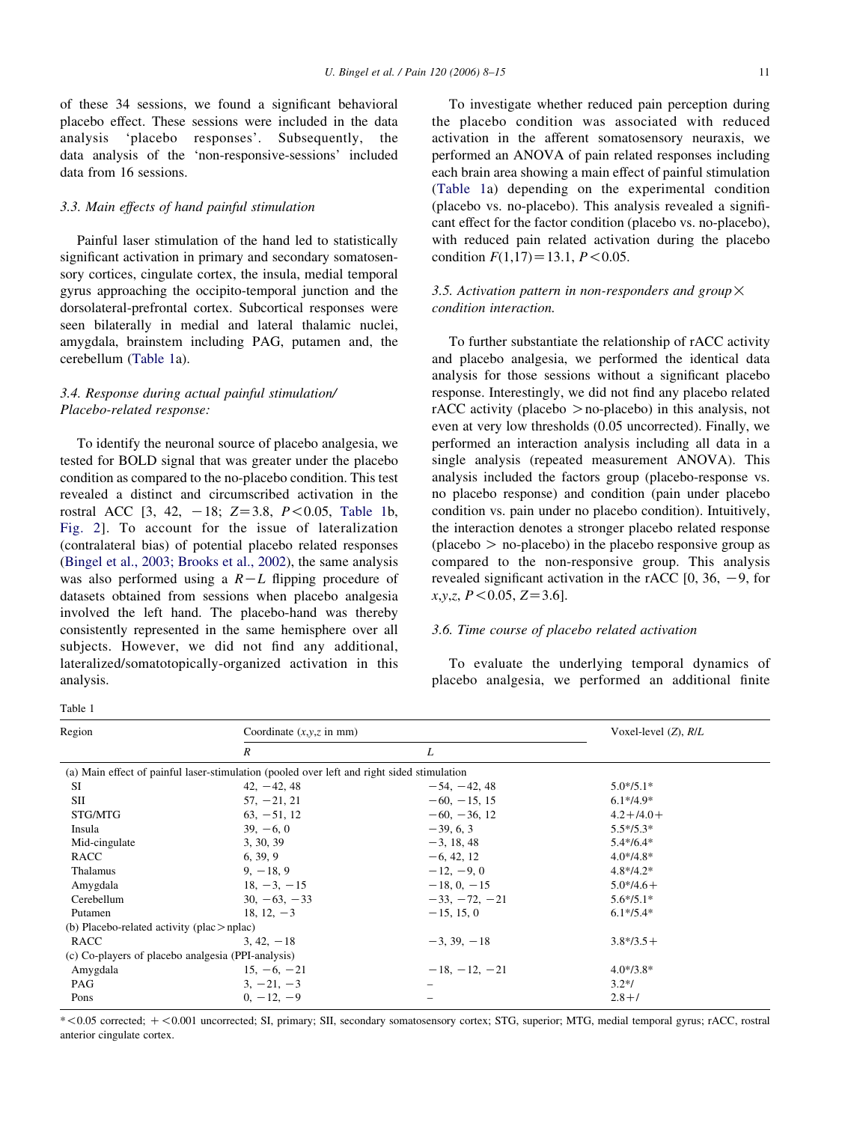<span id="page-3-0"></span>of these 34 sessions, we found a significant behavioral placebo effect. These sessions were included in the data analysis 'placebo responses'. Subsequently, the data analysis of the 'non-responsive-sessions' included data from 16 sessions.

## 3.3. Main effects of hand painful stimulation

Painful laser stimulation of the hand led to statistically significant activation in primary and secondary somatosensory cortices, cingulate cortex, the insula, medial temporal gyrus approaching the occipito-temporal junction and the dorsolateral-prefrontal cortex. Subcortical responses were seen bilaterally in medial and lateral thalamic nuclei, amygdala, brainstem including PAG, putamen and, the cerebellum (Table 1a).

# 3.4. Response during actual painful stimulation/ Placebo-related response:

To identify the neuronal source of placebo analgesia, we tested for BOLD signal that was greater under the placebo condition as compared to the no-placebo condition. This test revealed a distinct and circumscribed activation in the rostral ACC  $[3, 42, -18; Z=3.8, P<0.05,$  Table 1b, [Fig. 2](#page-4-0)]. To account for the issue of lateralization (contralateral bias) of potential placebo related responses ([Bingel et al., 2003; Brooks et al., 2002](#page-7-0)), the same analysis was also performed using a  $R-L$  flipping procedure of datasets obtained from sessions when placebo analgesia involved the left hand. The placebo-hand was thereby consistently represented in the same hemisphere over all subjects. However, we did not find any additional, lateralized/somatotopically-organized activation in this analysis.

Table 1

To investigate whether reduced pain perception during the placebo condition was associated with reduced activation in the afferent somatosensory neuraxis, we performed an ANOVA of pain related responses including each brain area showing a main effect of painful stimulation (Table 1a) depending on the experimental condition (placebo vs. no-placebo). This analysis revealed a significant effect for the factor condition (placebo vs. no-placebo), with reduced pain related activation during the placebo condition  $F(1.17) = 13.1$ ,  $P < 0.05$ .

## 3.5. Activation pattern in non-responders and group  $\times$ condition interaction.

To further substantiate the relationship of rACC activity and placebo analgesia, we performed the identical data analysis for those sessions without a significant placebo response. Interestingly, we did not find any placebo related  $rACC$  activity (placebo  $>$  no-placebo) in this analysis, not even at very low thresholds (0.05 uncorrected). Finally, we performed an interaction analysis including all data in a single analysis (repeated measurement ANOVA). This analysis included the factors group (placebo-response vs. no placebo response) and condition (pain under placebo condition vs. pain under no placebo condition). Intuitively, the interaction denotes a stronger placebo related response  $(\text{placebo} > \text{no-placebo})$  in the placebo responsive group as compared to the non-responsive group. This analysis revealed significant activation in the rACC  $[0, 36, -9,$  for  $x, y, z, P < 0.05, Z = 3.6$ .

## 3.6. Time course of placebo related activation

To evaluate the underlying temporal dynamics of placebo analgesia, we performed an additional finite

| Region                                             | Coordinate $(x, y, z$ in mm)                                                               |                 | Voxel-level $(Z)$ , $R/L$ |  |
|----------------------------------------------------|--------------------------------------------------------------------------------------------|-----------------|---------------------------|--|
|                                                    | $\boldsymbol{R}$                                                                           | L               |                           |  |
|                                                    | (a) Main effect of painful laser-stimulation (pooled over left and right sided stimulation |                 |                           |  |
| <b>SI</b>                                          | $42, -42, 48$                                                                              | $-54, -42, 48$  | $5.0*/5.1*$               |  |
| SП                                                 | $57, -21, 21$                                                                              | $-60, -15, 15$  | $6.1*$ /4.9*              |  |
| STG/MTG                                            | $63, -51, 12$                                                                              | $-60, -36, 12$  | $4.2 + 14.0 +$            |  |
| Insula                                             | $39, -6, 0$                                                                                | $-39, 6, 3$     | $5.5*/5.3*$               |  |
| Mid-cingulate                                      | 3, 30, 39                                                                                  | $-3, 18, 48$    | $5.4*/6.4*$               |  |
| RACC                                               | 6, 39, 9                                                                                   | $-6, 42, 12$    | $4.0* / 4.8*$             |  |
| Thalamus                                           | $9, -18, 9$                                                                                | $-12, -9, 0$    | $4.8*/4.2*$               |  |
| Amygdala                                           | $18, -3, -15$                                                                              | $-18, 0, -15$   | $5.0*/4.6+$               |  |
| Cerebellum                                         | $30, -63, -33$                                                                             | $-33, -72, -21$ | $5.6*/5.1*$               |  |
| Putamen                                            | 18.12. $-3$                                                                                | $-15, 15, 0$    | $6.1*/5.4*$               |  |
| (b) Placebo-related activity (plac $>$ nplac)      |                                                                                            |                 |                           |  |
| <b>RACC</b>                                        | $3, 42, -18$                                                                               | $-3.39 - 18$    | $3.8*/3.5+$               |  |
| (c) Co-players of placebo analgesia (PPI-analysis) |                                                                                            |                 |                           |  |
| Amygdala                                           | $15, -6, -21$                                                                              | $-18, -12, -21$ | $4.0*/3.8*$               |  |
| PAG                                                | $3, -21, -3$                                                                               |                 | $3.2*/$                   |  |
| Pons                                               | $0, -12, -9$                                                                               |                 | $2.8 + 7$                 |  |

\*<0.05 corrected; + <0.001 uncorrected; SI, primary; SII, secondary somatosensory cortex; STG, superior; MTG, medial temporal gyrus; rACC, rostral anterior cingulate cortex.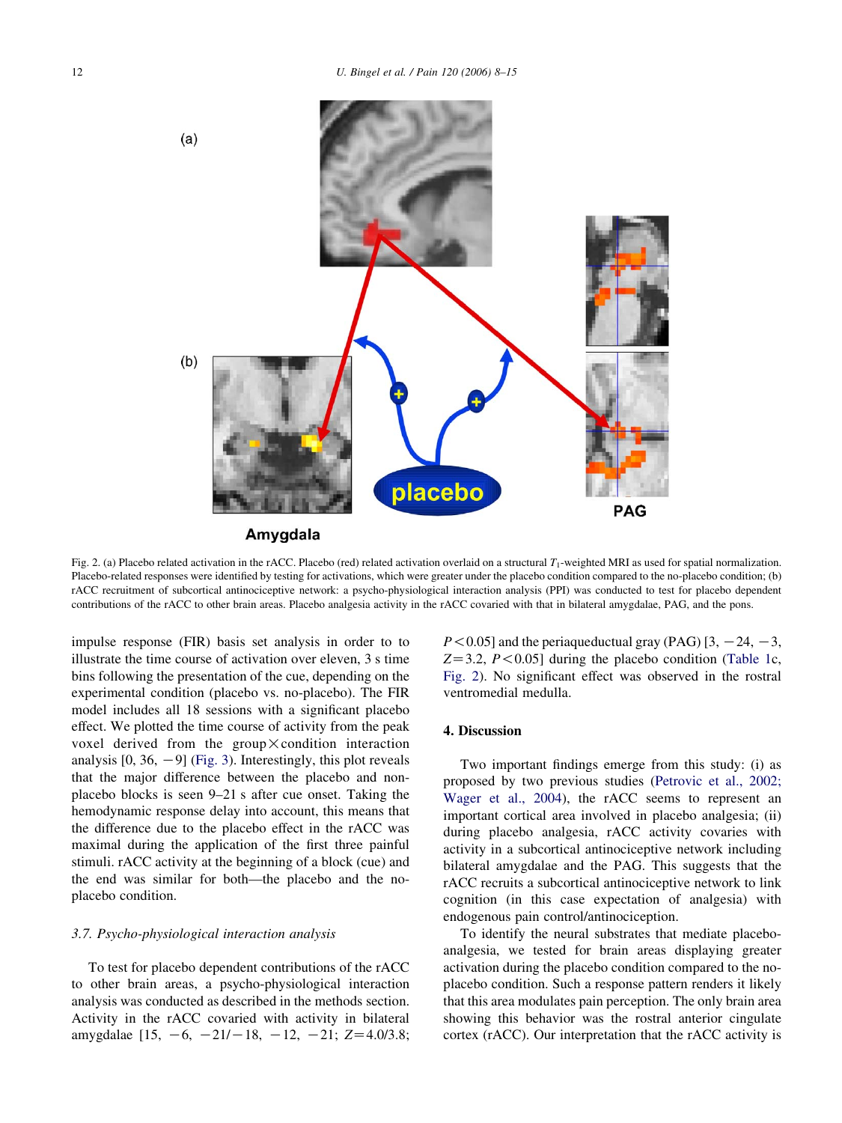<span id="page-4-0"></span>

Fig. 2. (a) Placebo related activation in the rACC. Placebo (red) related activation overlaid on a structural  $T_1$ -weighted MRI as used for spatial normalization. Placebo-related responses were identified by testing for activations, which were greater under the placebo condition compared to the no-placebo condition; (b) rACC recruitment of subcortical antinociceptive network: a psycho-physiological interaction analysis (PPI) was conducted to test for placebo dependent contributions of the rACC to other brain areas. Placebo analgesia activity in the rACC covaried with that in bilateral amygdalae, PAG, and the pons.

impulse response (FIR) basis set analysis in order to to illustrate the time course of activation over eleven, 3 s time bins following the presentation of the cue, depending on the experimental condition (placebo vs. no-placebo). The FIR model includes all 18 sessions with a significant placebo effect. We plotted the time course of activity from the peak voxel derived from the group  $\times$  condition interaction analysis  $[0, 36, -9]$  [\(Fig. 3\)](#page-5-0). Interestingly, this plot reveals that the major difference between the placebo and nonplacebo blocks is seen 9–21 s after cue onset. Taking the hemodynamic response delay into account, this means that the difference due to the placebo effect in the rACC was maximal during the application of the first three painful stimuli. rACC activity at the beginning of a block (cue) and the end was similar for both—the placebo and the noplacebo condition.

#### 3.7. Psycho-physiological interaction analysis

To test for placebo dependent contributions of the rACC to other brain areas, a psycho-physiological interaction analysis was conducted as described in the methods section. Activity in the rACC covaried with activity in bilateral amygdalae  $[15, -6, -21/-18, -12, -21; Z=4.0/3.8;$ 

 $P < 0.05$ ] and the periaqueductual gray (PAG) [3, -24, -3,  $Z=3.2$ ,  $P<0.05$ ] during the placebo condition [\(Table 1c](#page-3-0), Fig. 2). No significant effect was observed in the rostral ventromedial medulla.

## 4. Discussion

Two important findings emerge from this study: (i) as proposed by two previous studies [\(Petrovic et al., 2002;](#page-7-0) [Wager et al., 2004](#page-7-0)), the rACC seems to represent an important cortical area involved in placebo analgesia; (ii) during placebo analgesia, rACC activity covaries with activity in a subcortical antinociceptive network including bilateral amygdalae and the PAG. This suggests that the rACC recruits a subcortical antinociceptive network to link cognition (in this case expectation of analgesia) with endogenous pain control/antinociception.

To identify the neural substrates that mediate placeboanalgesia, we tested for brain areas displaying greater activation during the placebo condition compared to the noplacebo condition. Such a response pattern renders it likely that this area modulates pain perception. The only brain area showing this behavior was the rostral anterior cingulate cortex (rACC). Our interpretation that the rACC activity is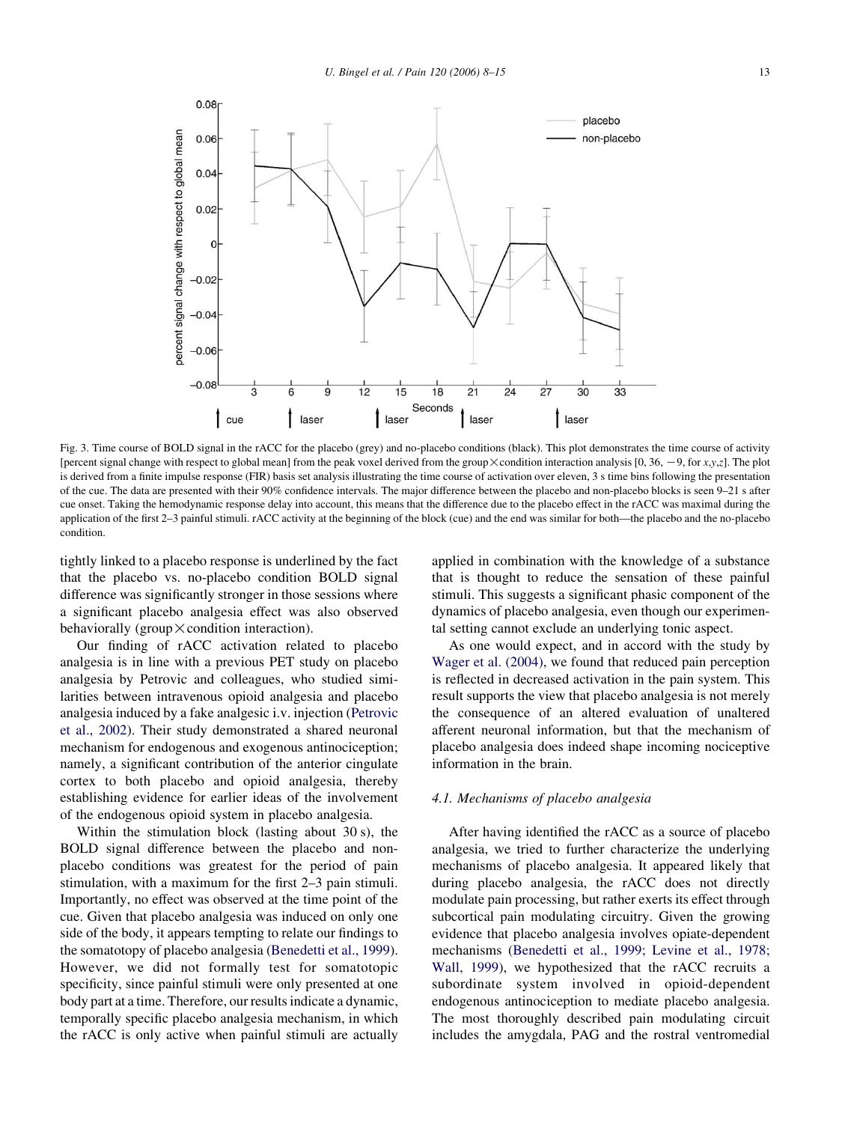<span id="page-5-0"></span>

Fig. 3. Time course of BOLD signal in the rACC for the placebo (grey) and no-placebo conditions (black). This plot demonstrates the time course of activity [percent signal change with respect to global mean] from the peak voxel derived from the group  $\times$  condition interaction analysis [0, 36, -9, for x,y,z]. The plot is derived from a finite impulse response (FIR) basis set analysis illustrating the time course of activation over eleven, 3 s time bins following the presentation of the cue. The data are presented with their 90% confidence intervals. The major difference between the placebo and non-placebo blocks is seen 9–21 s after cue onset. Taking the hemodynamic response delay into account, this means that the difference due to the placebo effect in the rACC was maximal during the application of the first 2–3 painful stimuli. rACC activity at the beginning of the block (cue) and the end was similar for both—the placebo and the no-placebo condition.

tightly linked to a placebo response is underlined by the fact that the placebo vs. no-placebo condition BOLD signal difference was significantly stronger in those sessions where a significant placebo analgesia effect was also observed behaviorally (group  $\times$  condition interaction).

Our finding of rACC activation related to placebo analgesia is in line with a previous PET study on placebo analgesia by Petrovic and colleagues, who studied similarities between intravenous opioid analgesia and placebo analgesia induced by a fake analgesic i.v. injection [\(Petrovic](#page-7-0) [et al., 2002\)](#page-7-0). Their study demonstrated a shared neuronal mechanism for endogenous and exogenous antinociception; namely, a significant contribution of the anterior cingulate cortex to both placebo and opioid analgesia, thereby establishing evidence for earlier ideas of the involvement of the endogenous opioid system in placebo analgesia.

Within the stimulation block (lasting about 30 s), the BOLD signal difference between the placebo and nonplacebo conditions was greatest for the period of pain stimulation, with a maximum for the first 2–3 pain stimuli. Importantly, no effect was observed at the time point of the cue. Given that placebo analgesia was induced on only one side of the body, it appears tempting to relate our findings to the somatotopy of placebo analgesia ([Benedetti et al., 1999\)](#page-7-0). However, we did not formally test for somatotopic specificity, since painful stimuli were only presented at one body part at a time. Therefore, our results indicate a dynamic, temporally specific placebo analgesia mechanism, in which the rACC is only active when painful stimuli are actually

applied in combination with the knowledge of a substance that is thought to reduce the sensation of these painful stimuli. This suggests a significant phasic component of the dynamics of placebo analgesia, even though our experimental setting cannot exclude an underlying tonic aspect.

As one would expect, and in accord with the study by [Wager et al. \(2004\)](#page-7-0), we found that reduced pain perception is reflected in decreased activation in the pain system. This result supports the view that placebo analgesia is not merely the consequence of an altered evaluation of unaltered afferent neuronal information, but that the mechanism of placebo analgesia does indeed shape incoming nociceptive information in the brain.

## 4.1. Mechanisms of placebo analgesia

After having identified the rACC as a source of placebo analgesia, we tried to further characterize the underlying mechanisms of placebo analgesia. It appeared likely that during placebo analgesia, the rACC does not directly modulate pain processing, but rather exerts its effect through subcortical pain modulating circuitry. Given the growing evidence that placebo analgesia involves opiate-dependent mechanisms ([Benedetti et al., 1999; Levine et al., 1978;](#page-7-0) [Wall, 1999\)](#page-7-0), we hypothesized that the rACC recruits a subordinate system involved in opioid-dependent endogenous antinociception to mediate placebo analgesia. The most thoroughly described pain modulating circuit includes the amygdala, PAG and the rostral ventromedial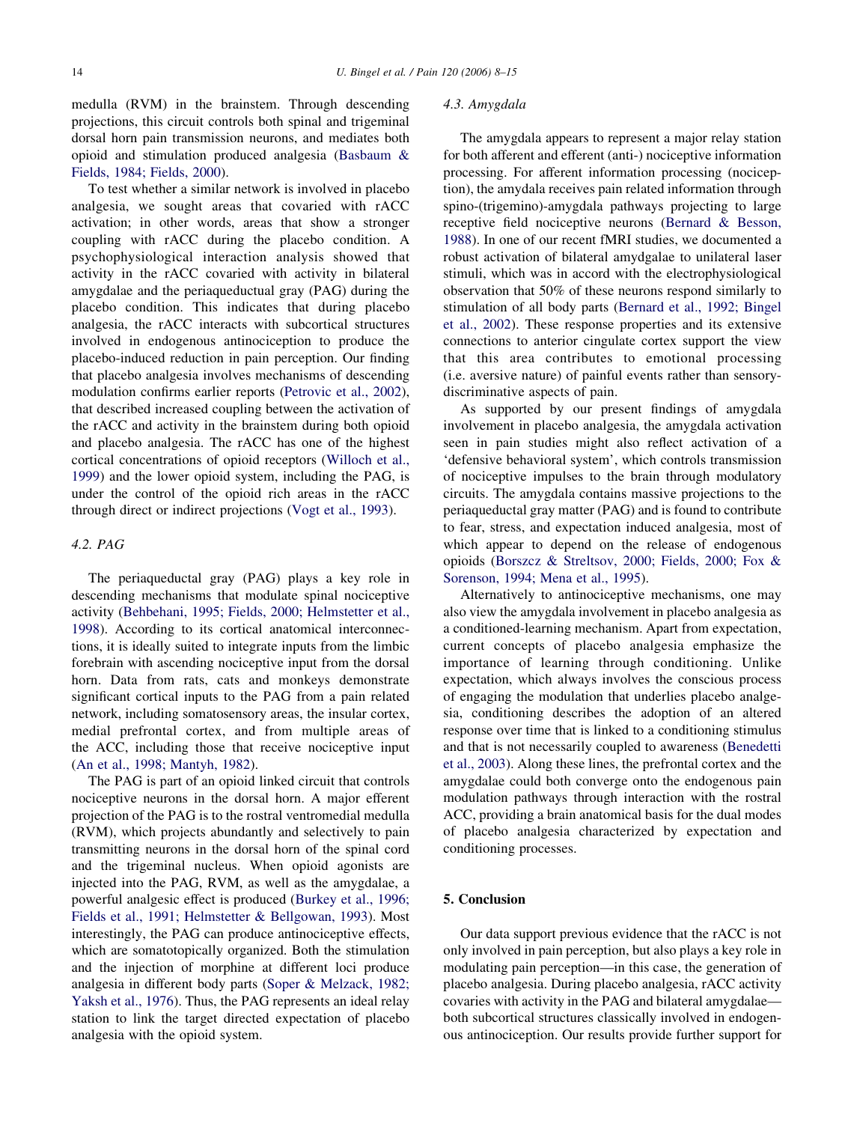medulla (RVM) in the brainstem. Through descending projections, this circuit controls both spinal and trigeminal dorsal horn pain transmission neurons, and mediates both opioid and stimulation produced analgesia ([Basbaum &](#page-7-0) [Fields, 1984; Fields, 2000](#page-7-0)).

To test whether a similar network is involved in placebo analgesia, we sought areas that covaried with rACC activation; in other words, areas that show a stronger coupling with rACC during the placebo condition. A psychophysiological interaction analysis showed that activity in the rACC covaried with activity in bilateral amygdalae and the periaqueductual gray (PAG) during the placebo condition. This indicates that during placebo analgesia, the rACC interacts with subcortical structures involved in endogenous antinociception to produce the placebo-induced reduction in pain perception. Our finding that placebo analgesia involves mechanisms of descending modulation confirms earlier reports [\(Petrovic et al., 2002\)](#page-7-0), that described increased coupling between the activation of the rACC and activity in the brainstem during both opioid and placebo analgesia. The rACC has one of the highest cortical concentrations of opioid receptors ([Willoch et al.,](#page-7-0) [1999\)](#page-7-0) and the lower opioid system, including the PAG, is under the control of the opioid rich areas in the rACC through direct or indirect projections [\(Vogt et al., 1993\)](#page-7-0).

## 4.2. PAG

The periaqueductal gray (PAG) plays a key role in descending mechanisms that modulate spinal nociceptive activity [\(Behbehani, 1995; Fields, 2000; Helmstetter et al.,](#page-7-0) [1998\)](#page-7-0). According to its cortical anatomical interconnections, it is ideally suited to integrate inputs from the limbic forebrain with ascending nociceptive input from the dorsal horn. Data from rats, cats and monkeys demonstrate significant cortical inputs to the PAG from a pain related network, including somatosensory areas, the insular cortex, medial prefrontal cortex, and from multiple areas of the ACC, including those that receive nociceptive input ([An et al., 1998; Mantyh, 1982\)](#page-7-0).

The PAG is part of an opioid linked circuit that controls nociceptive neurons in the dorsal horn. A major efferent projection of the PAG is to the rostral ventromedial medulla (RVM), which projects abundantly and selectively to pain transmitting neurons in the dorsal horn of the spinal cord and the trigeminal nucleus. When opioid agonists are injected into the PAG, RVM, as well as the amygdalae, a powerful analgesic effect is produced ([Burkey et al., 1996;](#page-7-0) [Fields et al., 1991; Helmstetter & Bellgowan, 1993](#page-7-0)). Most interestingly, the PAG can produce antinociceptive effects, which are somatotopically organized. Both the stimulation and the injection of morphine at different loci produce analgesia in different body parts ([Soper & Melzack, 1982;](#page-7-0) [Yaksh et al., 1976\)](#page-7-0). Thus, the PAG represents an ideal relay station to link the target directed expectation of placebo analgesia with the opioid system.

## 4.3. Amygdala

The amygdala appears to represent a major relay station for both afferent and efferent (anti-) nociceptive information processing. For afferent information processing (nociception), the amydala receives pain related information through spino-(trigemino)-amygdala pathways projecting to large receptive field nociceptive neurons ([Bernard & Besson,](#page-7-0) [1988\)](#page-7-0). In one of our recent fMRI studies, we documented a robust activation of bilateral amydgalae to unilateral laser stimuli, which was in accord with the electrophysiological observation that 50% of these neurons respond similarly to stimulation of all body parts [\(Bernard et al., 1992; Bingel](#page-7-0) [et al., 2002](#page-7-0)). These response properties and its extensive connections to anterior cingulate cortex support the view that this area contributes to emotional processing (i.e. aversive nature) of painful events rather than sensorydiscriminative aspects of pain.

As supported by our present findings of amygdala involvement in placebo analgesia, the amygdala activation seen in pain studies might also reflect activation of a 'defensive behavioral system', which controls transmission of nociceptive impulses to the brain through modulatory circuits. The amygdala contains massive projections to the periaqueductal gray matter (PAG) and is found to contribute to fear, stress, and expectation induced analgesia, most of which appear to depend on the release of endogenous opioids [\(Borszcz & Streltsov, 2000; Fields, 2000; Fox &](#page-7-0) [Sorenson, 1994; Mena et al., 1995](#page-7-0)).

Alternatively to antinociceptive mechanisms, one may also view the amygdala involvement in placebo analgesia as a conditioned-learning mechanism. Apart from expectation, current concepts of placebo analgesia emphasize the importance of learning through conditioning. Unlike expectation, which always involves the conscious process of engaging the modulation that underlies placebo analgesia, conditioning describes the adoption of an altered response over time that is linked to a conditioning stimulus and that is not necessarily coupled to awareness [\(Benedetti](#page-7-0) [et al., 2003\)](#page-7-0). Along these lines, the prefrontal cortex and the amygdalae could both converge onto the endogenous pain modulation pathways through interaction with the rostral ACC, providing a brain anatomical basis for the dual modes of placebo analgesia characterized by expectation and conditioning processes.

# 5. Conclusion

Our data support previous evidence that the rACC is not only involved in pain perception, but also plays a key role in modulating pain perception—in this case, the generation of placebo analgesia. During placebo analgesia, rACC activity covaries with activity in the PAG and bilateral amygdalae both subcortical structures classically involved in endogenous antinociception. Our results provide further support for